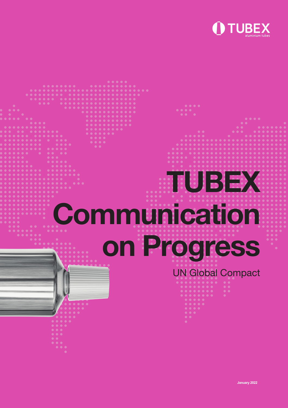

# TUBEX **Communication** on Progress UN Global Compact

**January 2022**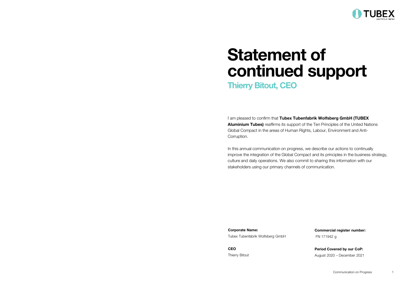

## Statement of continued support

Thierry Bitout, CEO

I am pleased to confirm that Tubex Tubenfabrik Wolfsberg GmbH (TUBEX Aluminium Tubes) reaffirms its support of the Ten Principles of the United Nations Global Compact in the areas of Human Rights, Labour, Environment and Anti-Corruption.

In this annual communication on progress, we describe our actions to continually improve the integration of the Global Compact and its principles in the business strategy, culture and daily operations. We also commit to sharing this information with our stakeholders using our primary channels of communication.

Corporate Name: Tubex Tubenfabrik Wolfsberg GmbH

CEO Thierry Bitout Commercial register number: FN 171942 g

Period Covered by our CoP: August 2020 – December 2021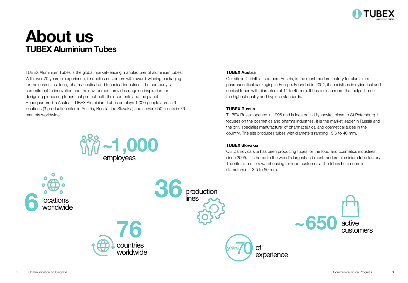

## About us TUBEX Aluminium Tubes

TUBEX Aluminium Tubes is the global market-leading manufacturer of aluminium tubes. With over 70 years of experience, it supplies customers with award-winning packaging for the cosmetics, food, pharmaceutical and technical industries. The company's commitment to innovation and the environment provides ongoing inspiration for designing pioneering tubes that protect both their contents and the planet. Headquartered in Austria, TUBEX Aluminium Tubes employs 1,000 people across 6 locations (3 production sites in Austria, Russia and Slovakia) and serves 650 clients in 76 markets worldwide.



#### TUBEX Austria

Our site in Carinthia, southern Austria, is the most modern factory for aluminium pharmaceutical packaging in Europe. Founded in 2001, it specialises in cylindrical and conical tubes with diameters of 11 to 40 mm. It has a clean room that helps it meet the highest quality and hygiene standards.

#### TUBEX Russia

TUBEX Russia opened in 1995 and is located in Ulyanovka, close to St Petersburg. It focuses on the cosmetics and pharma industries. It is the market leader in Russia and the only specialist manufacturer of pharmaceutical and cosmetical tubes in the country. The site produces tubes with diameters ranging 13.5 to 40 mm.

#### TUBEX Slovakia

Our Zarnovica site has been producing tubes for the food and cosmetics industries since 2005. It is home to the world's largest and most modern aluminium tube factory. The site also offers warehousing for food customers. The tubes here come in diameters of 13.5 to 50 mm.

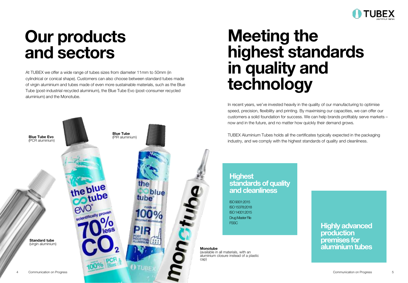

## Our products and sectors

At TUBEX we offer a wide range of tubes sizes from diameter 11mm to 50mm (in cylindrical or conical shape). Customers can also choose between standard tubes made of virgin aluminium and tubes made of even more sustainable materials, such as the Blue Tube (post-industrial recycled aluminium), the Blue Tube Evo (post-consumer recycled aluminium) and the Monotube.



## Meeting the highest standards in quality and technology

In recent years, we've invested heavily in the quality of our manufacturing to optimise speed, precision, flexibility and printing. By maximising our capacities, we can offer our customers a solid foundation for success. We can help brands profitably serve markets – now and in the future, and no matter how quickly their demand grows.

TUBEX Aluminium Tubes holds all the certificates typically expected in the packaging industry, and we comply with the highest standards of quality and cleanliness.

#### **Highest** standards of quality and cleanliness

ISO 9001:2015 ISO 15378:2018 ISO 14001:2015 Drug Master File **FSSC** 

Monotube (available in all materials, with an aluminium closure instead of a plastic Highly advanced production premises for aluminium tubes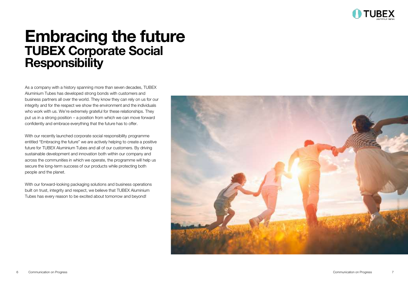

## Embracing the future TUBEX Corporate Social **Responsibility**

As a company with a history spanning more than seven decades, TUBEX Aluminium Tubes has developed strong bonds with customers and business partners all over the world. They know they can rely on us for our integrity and for the respect we show the environment and the individuals who work with us. We're extremely grateful for these relationships. They put us in a strong position – a position from which we can move forward confidently and embrace everything that the future has to offer.

With our recently launched corporate social responsibility programme entitled "Embracing the future" we are actively helping to create a positive future for TUBEX Aluminium Tubes and all of our customers. By driving sustainable development and innovation both within our company and across the communities in which we operate, the programme will help us secure the long-term success of our products while protecting both people and the planet.

With our forward-looking packaging solutions and business operations built on trust, integrity and respect, we believe that TUBEX Aluminium Tubes has every reason to be excited about tomorrow and beyond!

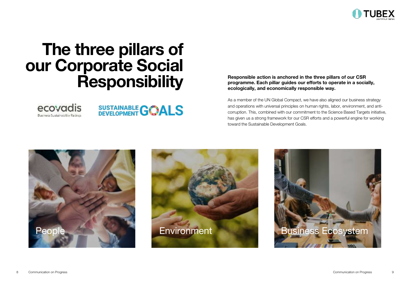

## The three pillars of our Corporate Social **Responsibility**





Responsible action is anchored in the three pillars of our CSR programme. Each pillar guides our efforts to operate in a socially, ecologically, and economically responsible way.

As a member of the UN Global Compact, we have also aligned our business strategy and operations with universal principles on human rights, labor, environment, and anticorruption. This, combined with our commitment to the Science Based Targets initiative, has given us a strong framework for our CSR efforts and a powerful engine for working toward the Sustainable Development Goals.





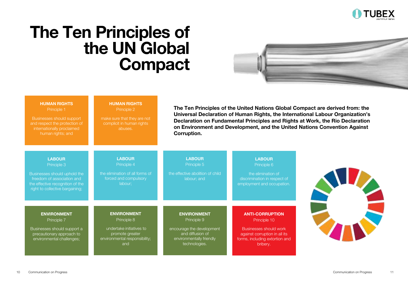

## The Ten Principles of the UN Global **Compact**



| <b>HUMAN RIGHTS</b><br>Principle 1<br>Businesses should support<br>and respect the protection of<br>internationally proclaimed<br>human rights; and               | <b>HUMAN RIGHTS</b><br>Principle 2<br>make sure that they are not<br>complicit in human rights<br>abuses.                | The Ten Principles of the United Nations Global Compact are derived from: the<br>Universal Declaration of Human Rights, the International Labour Organization's<br>Declaration on Fundamental Principles and Rights at Work, the Rio Declaration<br>on Environment and Development, and the United Nations Convention Against<br>Corruption. |                                                                                                                                                 |  |
|-------------------------------------------------------------------------------------------------------------------------------------------------------------------|--------------------------------------------------------------------------------------------------------------------------|----------------------------------------------------------------------------------------------------------------------------------------------------------------------------------------------------------------------------------------------------------------------------------------------------------------------------------------------|-------------------------------------------------------------------------------------------------------------------------------------------------|--|
| <b>LABOUR</b><br>Principle 3<br>Businesses should uphold the<br>freedom of association and<br>the effective recognition of the<br>right to collective bargaining; | <b>LABOUR</b><br>Principle 4<br>the elimination of all forms of<br>forced and compulsory<br>labour:                      | <b>LABOUR</b><br>Principle 5<br>the effective abolition of child<br>labour; and                                                                                                                                                                                                                                                              | <b>LABOUR</b><br>Principle 6<br>the elimination of<br>discrimination in respect of<br>employment and occupation.                                |  |
| <b>ENVIRONMENT</b><br>Principle 7<br>Businesses should support a<br>precautionary approach to<br>environmental challenges;                                        | <b>ENVIRONMENT</b><br>Principle 8<br>undertake initiatives to<br>promote greater<br>environmental responsibility;<br>and | <b>ENVIRONMENT</b><br>Principle 9<br>encourage the development<br>and diffusion of<br>environmentally friendly<br>technologies.                                                                                                                                                                                                              | <b>ANTI-CORRUPTION</b><br>Principle 10<br>Businesses should work<br>against corruption in all its<br>forms, including extortion and<br>bribery. |  |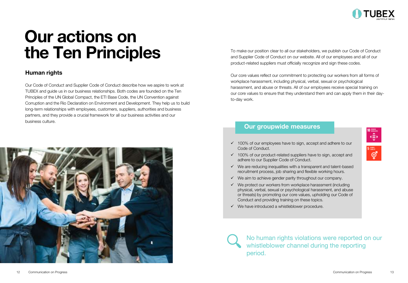

## Our actions on the Ten Principles

#### Human rights

Our Code of Conduct and Supplier Code of Conduct describe how we aspire to work at TUBEX and guide us in our business relationships. Both codes are founded on the Ten Principles of the UN Global Compact, the ETI Base Code, the UN Convention against Corruption and the Rio Declaration on Environment and Development. They help us to build long-term relationships with employees, customers, suppliers, authorities and business partners, and they provide a crucial framework for all our business activities and our business culture.



To make our position clear to all our stakeholders, we publish our Code of Conduct and Supplier Code of Conduct on our website. All of our employees and all of our product-related suppliers must officially recognize and sign these codes.

Our core values reflect our commitment to protecting our workers from all forms of workplace harassment, including physical, verbal, sexual or psychological harassment, and abuse or threats. All of our employees receive special training on our core values to ensure that they understand them and can apply them in their dayto-day work.

#### Our groupwide measures

- ✓ 100% of our employees have to sign, accept and adhere to our Code of Conduct.
- $\checkmark$  100% of our product-related suppliers have to sign, accept and adhere to our Supplier Code of Conduct.
- $\checkmark$  We are reducing inequalities with a transparent and talent-based recruitment process, job sharing and flexible working hours.
- ✓ We aim to achieve gender parity throughout our company.
- ✓ We protect our workers from workplace harassment (including physical, verbal, sexual or psychological harassment, and abuse or threats) by promoting our core values, upholding our Code of Conduct and providing training on these topics.
- ✓ We have introduced a whistleblower procedure.

No human rights violations were reported on our whistleblower channel during the reporting period.

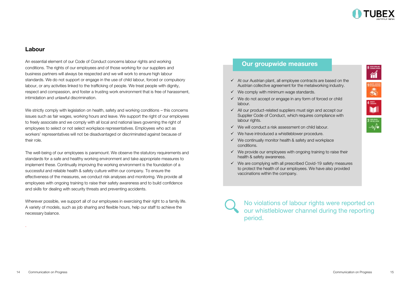

衜

#### Labour

An essential element of our Code of Conduct concerns labour rights and working conditions. The rights of our employees and of those working for our suppliers and business partners will always be respected and we will work to ensure high labour standards. We do not support or engage in the use of child labour, forced or compulsory labour, or any activities linked to the trafficking of people. We treat people with dignity, respect and compassion, and foster a trusting work environment that is free of harassment, intimidation and unlawful discrimination.

We strictly comply with legislation on health, safety and working conditions – this concerns issues such as fair wages, working hours and leave. We support the right of our employees to freely associate and we comply with all local and national laws governing the right of employees to select or not select workplace representatives. Employees who act as workers' representatives will not be disadvantaged or discriminated against because of their role.

The well-being of our employees is paramount. We observe the statutory requirements and standards for a safe and healthy working environment and take appropriate measures to implement these. Continually improving the working environment is the foundation of a successful and reliable health & safety culture within our company. To ensure the effectiveness of the measures, we conduct risk analyses and monitoring. We provide all employees with ongoing training to raise their safety awareness and to build confidence and skills for dealing with security threats and preventing accidents.

Wherever possible, we support all of our employees in exercising their right to a family life. A variety of models, such as job sharing and flexible hours, help our staff to achieve the necessary balance.

#### Our groupwide measures

- ✓ At our Austrian plant, all employee contracts are based on the Austrian collective agreement for the metalworking industry.
- ✓ We comply with minimum wage standards.
- ✓ We do not accept or engage in any form of forced or child labour.
- ✓ All our product-related suppliers must sign and accept our Supplier Code of Conduct, which requires compliance with labour rights.
- ✓ We will conduct a risk assessment on child labour.
- ✓ We have introduced a whistleblower procedure.
- ✓ We continually monitor health & safety and workplace conditions.
- ✓ We provide our employees with ongoing training to raise their health & safety awareness.
- ✓ We are complying with all prescribed Covid-19 safety measures to protect the health of our employees. We have also provided vaccinations within the company.

No violations of labour rights were reported on our whistleblower channel during the reporting period.

.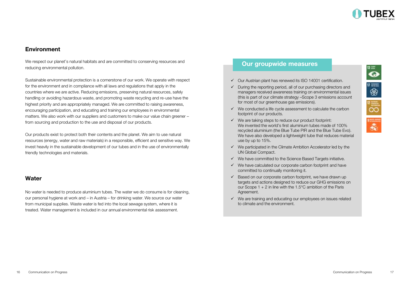

G.

❀

 $\overline{\infty}$ 

#### Environment

We respect our planet's natural habitats and are committed to conserving resources and reducing environmental pollution.

Sustainable environmental protection is a cornerstone of our work. We operate with respect for the environment and in compliance with all laws and regulations that apply in the countries where we are active. Reducing emissions, preserving natural resources, safely handling or avoiding hazardous waste, and promoting waste recycling and re-use have the highest priority and are appropriately managed. We are committed to raising awareness, encouraging participation, and educating and training our employees in environmental matters. We also work with our suppliers and customers to make our value chain greener – from sourcing and production to the use and disposal of our products.

Our products exist to protect both their contents and the planet. We aim to use natural resources (energy, water and raw materials) in a responsible, efficient and sensitive way. We invest heavily in the sustainable development of our tubes and in the use of environmentally friendly technologies and materials.

#### **Water**

No water is needed to produce aluminium tubes. The water we do consume is for cleaning, our personal hygiene at work and – in Austria – for drinking water. We source our water from municipal supplies. Waste water is fed into the local sewage system, where it is treated. Water management is included in our annual environmental risk assessment.

#### Our groupwide measures

- ✓ Our Austrian plant has renewed its ISO 14001 certification.
- $\checkmark$  During the reporting period, all of our purchasing directors and managers received awareness training on environmental issues (this is part of our climate strategy –Scope 3 emissions account for most of our greenhouse gas emissions).
- ✓ We conducted a life cycle assessment to calculate the carbon footprint of our products.
- $\checkmark$  We are taking steps to reduce our product footprint: We invented the world's first aluminium tubes made of 100% recycled aluminium (the Blue Tube PIR and the Blue Tube Evo). We have also developed a lightweight tube that reduces material use by up to 15%.
- ✓ We participated in the Climate Ambition Accelerator led by the UN Global Compact.
- $\checkmark$  We have committed to the Science Based Targets initiative.
- $\checkmark$  We have calculated our corporate carbon footprint and have committed to continually monitoring it.
- $\checkmark$  Based on our corporate carbon footprint, we have drawn up targets and actions designed to reduce our GHG emissions on our Scope  $1 + 2$  in line with the 1.5°C ambition of the Paris Agreement.
- ✓ We are training and educating our employees on issues related to climate and the environment.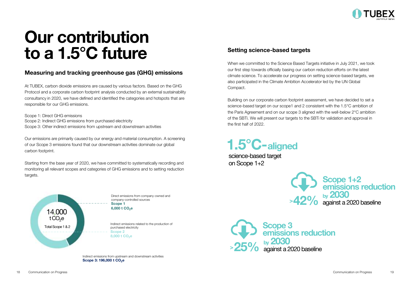

## Our contribution to a 1.5°C future

#### Measuring and tracking greenhouse gas (GHG) emissions

At TUBEX, carbon dioxide emissions are caused by various factors. Based on the GHG Protocol and a corporate carbon footprint analysis conducted by an external sustainability consultancy in 2020, we have defined and identified the categories and hotspots that are responsible for our GHG emissions.

Scope 1: Direct GHG emissions Scope 2: Indirect GHG emissions from purchased electricity Scope 3: Other indirect emissions from upstream and downstream activities

Our emissions are primarily caused by our energy and material consumption. A screening of our Scope 3 emissions found that our downstream activities dominate our global carbon footprint.

Starting from the base year of 2020, we have committed to systematically recording and monitoring all relevant scopes and categories of GHG emissions and to setting reduction targets.



Indirect emissions from upstream and downstream activities Scope 3: 196,000 t CO<sub>2</sub>e

#### Setting science-based targets

When we committed to the Science Based Targets initiative in July 2021, we took our first step towards officially basing our carbon reduction efforts on the latest climate science. To accelerate our progress on setting science-based targets, we also participated in the Climate Ambition Accelerator led by the UN Global Compact.

Building on our corporate carbon footprint assessment, we have decided to set a science-based target on our scope1 and 2 consistent with the 1.5°C ambition of the Paris Agreement and on our scope 3 aligned with the well-below 2°C ambition of the SBTi. We will present our targets to the SBTi for validation and approval in the first half of 2022.

1.5°C-aligned

science-based target on Scope 1+2



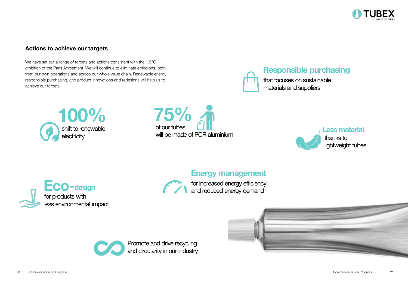

#### Actions to achieve our targets

We have set out a range of targets and actions consistent with the 1.5°C ambition of the Paris Agreement. We will continue to eliminate emissions, both from our own operations and across our whole value chain. Renewable energy, responsible purchasing, and product innovations and redesigns will help us to achieve our targets.

> 100% shift to renewable electricity



## Responsible purchasing

that focuses on sustainable materials and suppliers





### Energy management



for increased energy efficiency and reduced energy demand

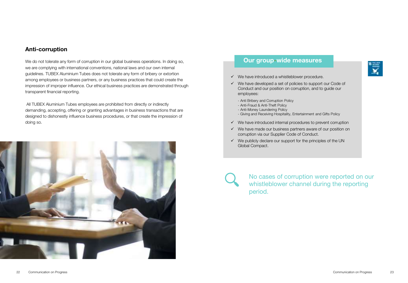#### Anti-corruption

We do not tolerate any form of corruption in our global business operations. In doing so, we are complying with international conventions, national laws and our own internal guidelines. TUBEX Aluminium Tubes does not tolerate any form of bribery or extortion among employees or business partners, or any business practices that could create the impression of improper influence. Our ethical business practices are demonstrated through transparent financial reporting.

All TUBEX Aluminium Tubes employees are prohibited from directly or indirectly demanding, accepting, offering or granting advantages in business transactions that are designed to dishonestly influence business procedures, or that create the impression of doing so.



#### Our group-wide measures

្ទ្រី

- $\checkmark$  We have introduced a whistleblower procedure.
- ✓ We have developed a set of policies to support our Code of Conduct and our position on corruption, and to guide our employees:
	- Anti Bribery and Corruption Policy
	- Anti-Fraud & Anti-Theft Policy
	- Anti-Money Laundering Policy
	- Giving and Receiving Hospitality, Entertainment and Gifts Policy
- ✓ We have introduced internal procedures to prevent corruption
- ✓ We have made our business partners aware of our position on corruption via our Supplier Code of Conduct.
- $\checkmark$  We publicly declare our support for the principles of the UN Global Compact.

No cases of corruption were reported on our whistleblower channel during the reporting period.